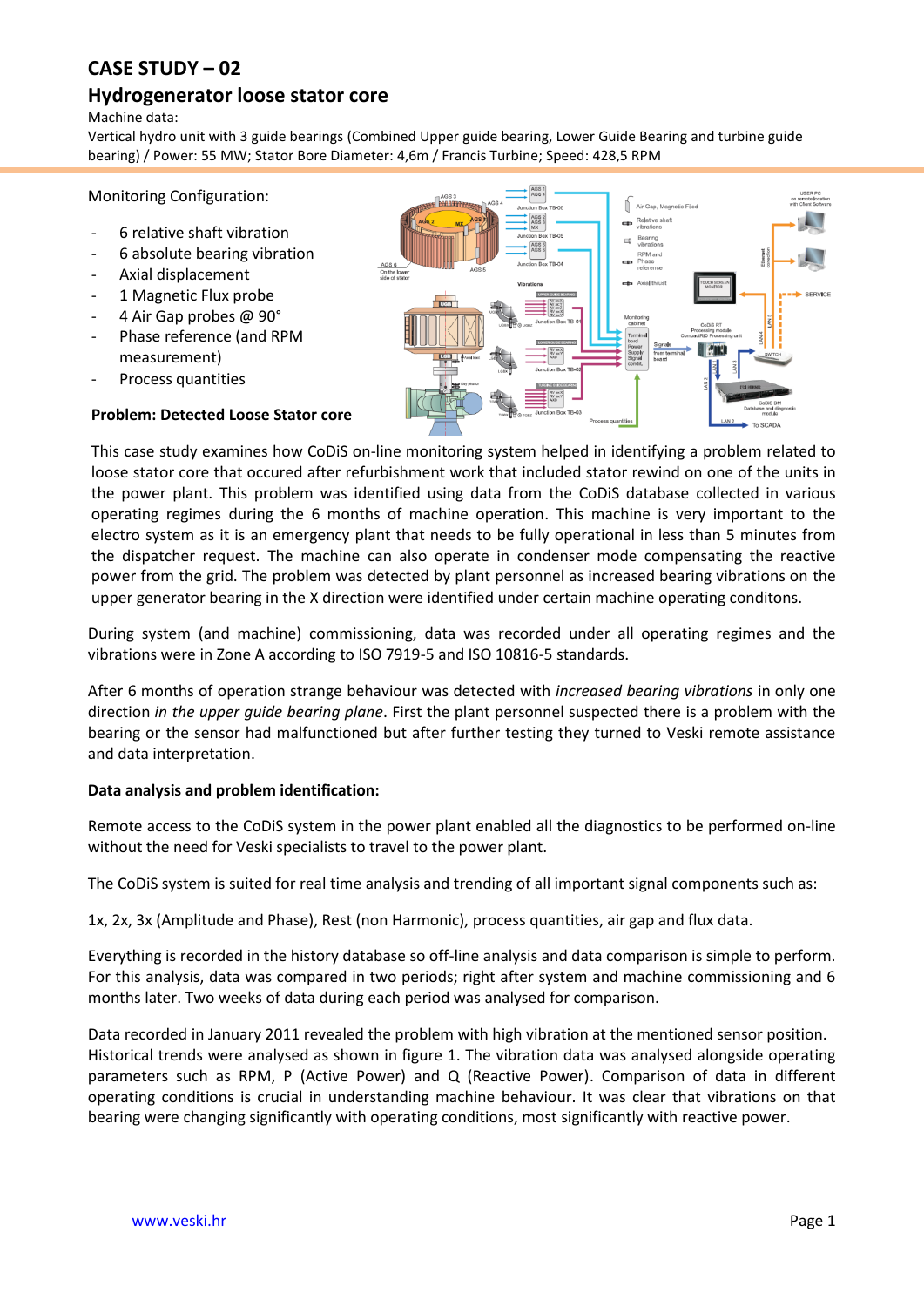# **CASE STUDY – 02**

## **Hydrogenerator loose stator core**

Machine data:

Vertical hydro unit with 3 guide bearings (Combined Upper guide bearing, Lower Guide Bearing and turbine guide bearing) / Power: 55 MW; Stator Bore Diameter: 4,6m / Francis Turbine; Speed: 428,5 RPM

Monitoring Configuration:

- 6 relative shaft vibration
- 6 absolute bearing vibration
- Axial displacement
- 1 Magnetic Flux probe
- 4 Air Gap probes @ 90°
- Phase reference (and RPM measurement)
- Process quantities

#### **Problem: Detected Loose Stator core**



This case study examines how CoDiS on-line monitoring system helped in identifying a problem related to loose stator core that occured after refurbishment work that included stator rewind on one of the units in the power plant. This problem was identified using data from the CoDiS database collected in various operating regimes during the 6 months of machine operation. This machine is very important to the electro system as it is an emergency plant that needs to be fully operational in less than 5 minutes from the dispatcher request. The machine can also operate in condenser mode compensating the reactive power from the grid. The problem was detected by plant personnel as increased bearing vibrations on the upper generator bearing in the X direction were identified under certain machine operating conditons.

During system (and machine) commissioning, data was recorded under all operating regimes and the vibrations were in Zone A according to ISO 7919-5 and ISO 10816-5 standards.

After 6 months of operation strange behaviour was detected with *increased bearing vibrations* in only one direction *in the upper guide bearing plane*. First the plant personnel suspected there is a problem with the bearing or the sensor had malfunctioned but after further testing they turned to Veski remote assistance and data interpretation.

#### **Data analysis and problem identification:**

Remote access to the CoDiS system in the power plant enabled all the diagnostics to be performed on-line without the need for Veski specialists to travel to the power plant.

The CoDiS system is suited for real time analysis and trending of all important signal components such as:

1x, 2x, 3x (Amplitude and Phase), Rest (non Harmonic), process quantities, air gap and flux data.

Everything is recorded in the history database so off-line analysis and data comparison is simple to perform. For this analysis, data was compared in two periods; right after system and machine commissioning and 6 months later. Two weeks of data during each period was analysed for comparison.

Data recorded in January 2011 revealed the problem with high vibration at the mentioned sensor position. Historical trends were analysed as shown in figure 1. The vibration data was analysed alongside operating parameters such as RPM, P (Active Power) and Q (Reactive Power). Comparison of data in different operating conditions is crucial in understanding machine behaviour. It was clear that vibrations on that bearing were changing significantly with operating conditions, most significantly with reactive power.